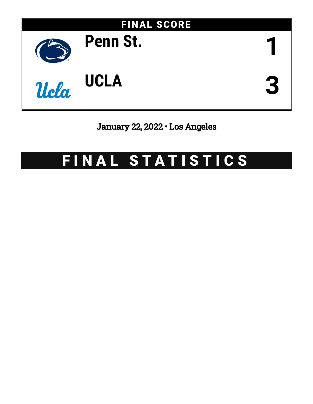

# January 22, 2022 • Los Angeles

# FINAL STATISTICS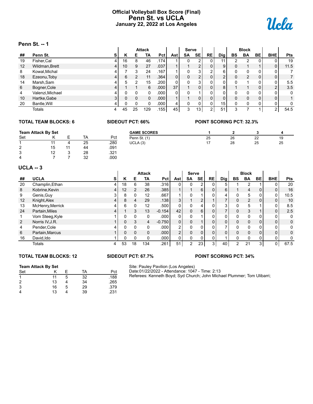# **Official Volleyball Box Score (Final) Penn St. vs UCLA January 22, 2022 at Los Angeles**



### **Penn St. -- 1**

|    | г <del>с</del> нн эс — г |   |              |                |               |                   |            |              |                 |                |                 |           |                |              |                |            |
|----|--------------------------|---|--------------|----------------|---------------|-------------------|------------|--------------|-----------------|----------------|-----------------|-----------|----------------|--------------|----------------|------------|
|    |                          |   |              |                | <b>Attack</b> |                   |            | <b>Serve</b> |                 |                |                 |           | <b>Block</b>   |              |                |            |
| ## | Penn St.                 | s | Κ            | Е              | ΤА            | Pct               | Ast        | <b>SA</b>    | <b>SE</b>       | <b>RE</b>      | Dig             | <b>BS</b> | <b>BA</b>      | BE           | <b>BHE</b>     | <b>Pts</b> |
| 19 | Fisher, Cal              | 4 | 16           | 8              | 46            | .174              |            | 0            |                 |                | 11 <sub>1</sub> |           |                |              | 0              | 19         |
| 12 | Wildman, Brett           | 4 | 10           | 9              | 27            | .037              |            |              | C               | 0              | 9               |           |                |              | 0              | 11.5       |
| 8  | Kowal, Michal            | 4 |              | 3              | 24            | .167              |            | 0            | 3               | 2              | $6 \mid$        |           | $\mathbf{0}$   | 0            | 0              |            |
| 18 | Ezeonu, Toby             | 4 | 6            | $\overline{2}$ | 11            | .364              | 0          | 0            | C               | 0              | C               |           | $\mathfrak{p}$ | $\Omega$     | $\mathbf{0}$   |            |
| 14 | Marsh, Sam               | 4 | 5            | 2              | 15            | .200              | $\Omega$ . | 0            | 3               | 0              | $\Omega$        |           |                | 0            | 0              | 5.5        |
| 6  | Bogner, Cole             | 4 |              |                | 6             | .000 <sub>1</sub> | 37         |              | 0               | 0              | 8               |           |                | $\Omega$     | $\overline{2}$ | 3.5        |
| 4  | Valenzi, Michael         | 4 | U            | 0              | $\Omega$      | .000              |            | 0            |                 | $\Omega$       | $\Omega$        |           | 0              | 0            | $\Omega$       | 0          |
| 10 | Hartke, Gabe             | 3 | 0            | 0              | $\Omega$      | .000              |            |              | 0               | $\mathbf{0}$   | $\Omega$        |           | 0              | $\Omega$     | $\Omega$       |            |
| 20 | Bantle, Will             | 4 | <sup>0</sup> | 0              | $\Omega$      | .000              | 4          | 0            | 0               | $\mathbf 0$    | 15 <sub>1</sub> |           | $\Omega$       | <sup>0</sup> | 0              | 0          |
|    | Totals                   | 4 | 45           | 25             | 129           | .155              | 45         | 3            | 13 <sub>1</sub> | $\overline{2}$ | 51              | 3         |                |              | $\overline{2}$ | 54.5       |

# **TOTAL TEAM BLOCKS: 6 SIDEOUT PCT: 66% POINT SCORING PCT: 32.3%**

|     | <b>Team Attack By Set</b> |    |      | <b>GAME SCORES</b> |     |    |    |    |
|-----|---------------------------|----|------|--------------------|-----|----|----|----|
| Set |                           | TA | Pct  | Penn St. (1)       | 25  | 26 | 22 | 19 |
|     |                           | 25 | .280 | UCLA(3)            | -17 | 28 | 25 | 25 |
| 2   | 15                        | 44 | .091 |                    |     |    |    |    |
| 3   | 12                        | 28 | .321 |                    |     |    |    |    |
| 4   |                           | 32 | .000 |                    |     |    |    |    |

### **UCLA -- 3**

|    | UGLA -- 3        |                |    |                |                   |                   |                |                |                |                |            |             |                |              |                |      |
|----|------------------|----------------|----|----------------|-------------------|-------------------|----------------|----------------|----------------|----------------|------------|-------------|----------------|--------------|----------------|------|
|    |                  |                |    |                | <b>Attack</b>     |                   |                | <b>Serve</b>   |                |                |            |             | <b>Block</b>   |              |                |      |
| ## | <b>UCLA</b>      | s              | ĸ  | Е              | TA                | <b>Pct</b>        | Astl           | SA             | <b>SE</b>      | RE             | <b>Dig</b> | BS          | <b>BA</b>      | BE           | <b>BHE</b>     | Pts  |
| 20 | Champlin, Ethan  | 4              | 18 | 6              | 38                | .316              | $\Omega$       | $\Omega$       | $\overline{2}$ | 0              | 5          |             | 2              |              | 0              | 20   |
| 8  | Kobrine, Kevin   | $\overline{4}$ | 12 | $\overline{2}$ | 26                | .385              |                |                | 6              | 0              | 6          |             | 4              | $\Omega$     | $\overline{0}$ | 16   |
| 9  | Genis, Guy       | 31             | 8  | 0              | 12                | .667              |                | $\Omega$       |                | 0              | 4          | 0           | 5              | 0            | $\overline{0}$ | 10.5 |
| 12 | Knight, Alex     | 4              | 8  | 4              | 29                | .138              | 3 <sup>1</sup> |                | $\overline{2}$ |                |            | $\mathbf 0$ | $\overline{2}$ | $\Omega$     | $\overline{0}$ | 10   |
| 13 | McHenry, Merrick | 4              | 6  | 0              | $12 \overline{ }$ | .500              | $\Omega$       | $\Omega$       | 4              | 0              | 3          | 0           | 5              |              | 0              | 8.5  |
| 24 | Partain, Miles   | 4              |    | 3              | 13                | $-0.154$          | 42             | $\Omega$       | 6              | 0              |            | 0           | 3              |              | 0              | 2.5  |
|    | Vom Steeg, Kyle  |                | 0  | $\mathbf{0}$   | 0                 | .000              | $\Omega$       | $\Omega$       |                | $\mathbf{0}$   | 0          | $\Omega$    | 0              | 0            | 0              | 0    |
| 2  | Norris IV, J.R.  |                | 0  | 3              | 4                 | $-0.750$          | $\overline{0}$ | $\Omega$       |                | 0              | 0          | 0           | $\mathbf 0$    | 0            | $\mathbf{0}$   | 0    |
| 4  | Pender, Cole     | 4              | 0  | $\mathbf{0}$   | 0                 | .000 <sub>1</sub> | 2 <sub>1</sub> | $\Omega$       | 0              | 0              |            | $\Omega$    | $\Omega$       | 0            | 0              | 0    |
| 6  | Partain, Marcus  |                | 0  | 0              | 0                 | .000 <sub>1</sub> | 2 <sup>1</sup> | $\mathbf{0}$   | 0              | 0              | 0          | $\Omega$    | $\mathbf 0$    | $\mathbf{0}$ | $\mathbf{0}$   | 0    |
| 16 | David, Ido       |                | 0  | $\Omega$       | 0                 | .000 <sub>1</sub> | $\Omega$       | $\Omega$       | 0              | 0              |            | 0           | $\Omega$       | 0            | 0              | 0    |
|    | Totals           | 4              | 53 | 18             | 134               | .261              | 51             | $\overline{2}$ | 23             | 3 <sub>l</sub> | 40         | 2           | 21             | 3            | 0 <sub>1</sub> | 67.5 |

### **TOTAL TEAM BLOCKS: 12 SIDEOUT PCT: 67.7% POINT SCORING PCT: 34%**

### **Team Attack By Set**

| Set |    |   | TA | Pct  |
|-----|----|---|----|------|
|     | 11 | 5 | 32 | .188 |
| 2   | 13 |   | 34 | .265 |
| 3   | 16 | 5 | 29 | .379 |
| 4   | 13 |   | 39 | .231 |

Site: Pauley Pavilion (Los Angeles) Date:01/22/2022 - Attendance: 1047 - Time: 2:13 Referees: Kenneth Boyd; Syd Church; John Michael Plummer; Tom Ulibarri;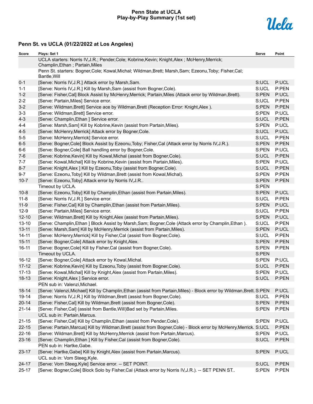## **Penn State at UCLA Play-by-Play Summary (1st set)**



| Score     | Plays: Set 1                                                                                                                     | Serve | Point |
|-----------|----------------------------------------------------------------------------------------------------------------------------------|-------|-------|
|           | UCLA starters: Norris IV, J.R.; Pender, Cole; Kobrine, Kevin; Knight, Alex; McHenry, Merrick;<br>Champlin, Ethan; Partain, Miles |       |       |
|           | Penn St. starters: Bogner, Cole; Kowal, Michal; Wildman, Brett; Marsh, Sam; Ezeonu, Toby; Fisher, Cal;<br>Bantle, Will           |       |       |
| $0 - 1$   | [Serve: Norris IV, J.R.] Attack error by Marsh, Sam.                                                                             | S:UCL | P:UCL |
| $1 - 1$   | [Serve: Norris IV, J.R.] Kill by Marsh, Sam (assist from Bogner, Cole).                                                          | S:UCL | P:PEN |
| $1 - 2$   | [Serve: Fisher, Cal] Block Assist by McHenry, Merrick; Partain, Miles (Attack error by Wildman, Brett).                          | S:PEN | P:UCL |
| $2 - 2$   | [Serve: Partain, Miles] Service error.                                                                                           | S:UCL | P:PEN |
| $3-2$     | [Serve: Wildman, Brett] Service ace by Wildman, Brett (Reception Error: Knight, Alex).                                           | S:PEN | P:PEN |
| $3 - 3$   | [Serve: Wildman, Brett] Service error.                                                                                           | S:PEN | P:UCL |
| $4 - 3$   | [Serve: Champlin, Ethan ] Service error.                                                                                         | S:UCL | P:PEN |
| $4 - 4$   | [Serve: Marsh, Sam] Kill by Kobrine, Kevin (assist from Partain, Miles).                                                         | S:PEN | P:UCL |
| $4 - 5$   | [Serve: McHenry, Merrick] Attack error by Bogner, Cole.                                                                          | S:UCL | P:UCL |
| $5-5$     | [Serve: McHenry, Merrick] Service error.                                                                                         | S:UCL | P:PEN |
| $6-5$     | [Serve: Bogner, Cole] Block Assist by Ezeonu, Toby; Fisher, Cal (Attack error by Norris IV, J.R.).                               | S:PEN | P:PEN |
| $6-6$     | [Serve: Bogner, Cole] Ball handling error by Bogner, Cole.                                                                       | S:PEN | P:UCL |
| $7-6$     | [Serve: Kobrine, Kevin] Kill by Kowal, Michal (assist from Bogner, Cole).                                                        | S:UCL | P:PEN |
| $7 - 7$   | [Serve: Kowal, Michal] Kill by Kobrine, Kevin (assist from Partain, Miles).                                                      | S:PEN | P:UCL |
| $8 - 7$   | [Serve: Knight, Alex ] Kill by Ezeonu, Toby (assist from Bogner, Cole).                                                          | S:UCL | P:PEN |
| $9 - 7$   | [Serve: Ezeonu, Toby] Kill by Wildman, Brett (assist from Kowal, Michal).                                                        | S:PEN | P:PEN |
| $10 - 7$  | [Serve: Ezeonu, Toby] Attack error by Norris IV, J.R                                                                             | S:PEN | P:PEN |
|           | Timeout by UCLA.                                                                                                                 | S:PEN |       |
| $10 - 8$  | [Serve: Ezeonu, Toby] Kill by Champlin, Ethan (assist from Partain, Miles).                                                      | S:PEN | P:UCL |
| $11 - 8$  | [Serve: Norris IV, J.R.] Service error.                                                                                          | S:UCL | P:PEN |
| $11 - 9$  | [Serve: Fisher, Cal] Kill by Champlin, Ethan (assist from Partain, Miles).                                                       | S:PEN | P:UCL |
| $12-9$    | [Serve: Partain, Miles] Service error.                                                                                           | S:UCL | P:PEN |
| $12 - 10$ | [Serve: Wildman, Brett] Kill by Knight, Alex (assist from Partain, Miles).                                                       | S:PEN | P:UCL |
| $13 - 10$ | [Serve: Champlin, Ethan ] Block Assist by Marsh, Sam; Bogner, Cole (Attack error by Champlin, Ethan).                            | S:UCL | P:PEN |
| $13 - 11$ | [Serve: Marsh, Sam] Kill by McHenry, Merrick (assist from Partain, Miles).                                                       | S:PEN | P:UCL |
| $14 - 11$ | [Serve: McHenry, Merrick] Kill by Fisher, Cal (assist from Bogner, Cole).                                                        | S:UCL | P:PEN |
| $15 - 11$ | [Serve: Bogner, Cole] Attack error by Knight, Alex.                                                                              | S:PEN | P:PEN |
| $16 - 11$ | [Serve: Bogner, Cole] Kill by Fisher, Cal (assist from Bogner, Cole).                                                            | S:PEN | P:PEN |
|           | Timeout by UCLA.                                                                                                                 | S:PEN |       |
| 16-12     | [Serve: Bogner, Cole] Attack error by Kowal, Michal.                                                                             | S:PEN | P:UCL |
| $17 - 12$ | [Serve: Kobrine, Kevin] Kill by Ezeonu, Toby (assist from Bogner, Cole).                                                         | S:UCL | P:PEN |
| $17 - 13$ | [Serve: Kowal, Michal] Kill by Knight, Alex (assist from Partain, Miles).                                                        | S:PEN | P:UCL |
| $18 - 13$ | [Serve: Knight, Alex ] Service error.                                                                                            | S:UCL | P:PEN |
|           | PEN sub in: Valenzi, Michael.                                                                                                    |       |       |
| $18 - 14$ | [Serve: Valenzi, Michael] Kill by Champlin, Ethan (assist from Partain, Miles) - Block error by Wildman, Brett. S:PEN            |       | P:UCL |
| 19-14     | [Serve: Norris IV, J.R.] Kill by Wildman, Brett (assist from Bogner, Cole).                                                      | S:UCL | P:PEN |
| $20 - 14$ | [Serve: Fisher, Cal] Kill by Wildman, Brett (assist from Bogner, Cole).                                                          | S:PEN | P:PEN |
| $21 - 14$ | [Serve: Fisher, Cal] (assist from Bantle, Will) Bad set by Partain, Miles.                                                       | S:PEN | P:PEN |
|           | UCL sub in: Partain, Marcus.                                                                                                     |       |       |
| $21 - 15$ | [Serve: Fisher, Cal] Kill by Champlin, Ethan (assist from Pender, Cole).                                                         | S:PEN | P:UCL |
| $22 - 15$ | [Serve: Partain, Marcus] Kill by Wildman, Brett (assist from Bogner, Cole) - Block error by McHenry, Merrick. S: UCL             |       | P:PEN |
| $22 - 16$ | [Serve: Wildman, Brett] Kill by McHenry, Merrick (assist from Partain, Marcus).                                                  | S:PEN | P:UCL |
| $23 - 16$ | [Serve: Champlin, Ethan ] Kill by Fisher, Cal (assist from Bogner, Cole).                                                        | S:UCL | P:PEN |
|           | PEN sub in: Hartke, Gabe.                                                                                                        |       |       |
| 23-17     | [Serve: Hartke, Gabe] Kill by Knight, Alex (assist from Partain, Marcus).                                                        | S:PEN | P:UCL |
|           | UCL sub in: Vom Steeg, Kyle.                                                                                                     |       |       |
| 24-17     | [Serve: Vom Steeg, Kyle] Service error. -- SET POINT.                                                                            | S:UCL | P:PEN |
| $25 - 17$ | [Serve: Bogner, Cole] Block Solo by Fisher, Cal (Attack error by Norris IV, J.R.). -- SET PENN ST                                | S:PEN | P:PEN |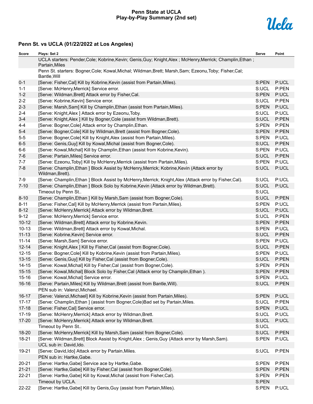# **Penn State at UCLA Play-by-Play Summary (2nd set)**



| Score     | Plays: Set 2                                                                                                                | Serve | Point |
|-----------|-----------------------------------------------------------------------------------------------------------------------------|-------|-------|
|           | UCLA starters: Pender, Cole; Kobrine, Kevin; Genis, Guy; Knight, Alex; McHenry, Merrick; Champlin, Ethan;<br>Partain, Miles |       |       |
|           | Penn St. starters: Bogner, Cole; Kowal, Michal; Wildman, Brett; Marsh, Sam; Ezeonu, Toby; Fisher, Cal;<br>Bantle, Will      |       |       |
| $0 - 1$   | [Serve: Fisher, Cal] Kill by Kobrine, Kevin (assist from Partain, Miles).                                                   | S:PEN | P:UCL |
| $1 - 1$   | [Serve: McHenry, Merrick] Service error.                                                                                    | S:UCL | P:PEN |
| $1 - 2$   | [Serve: Wildman, Brett] Attack error by Fisher, Cal.                                                                        | S:PEN | P:UCL |
| $2 - 2$   | [Serve: Kobrine, Kevin] Service error.                                                                                      | S:UCL | P:PEN |
| $2 - 3$   | [Serve: Marsh, Sam] Kill by Champlin, Ethan (assist from Partain, Miles).                                                   | S:PEN | P:UCL |
| $2 - 4$   | [Serve: Knight, Alex ] Attack error by Ezeonu, Toby.                                                                        | S:UCL | P:UCL |
| $3 - 4$   | [Serve: Knight, Alex ] Kill by Bogner, Cole (assist from Wildman, Brett).                                                   | S:UCL | P:PEN |
| $4 - 4$   | [Serve: Bogner, Cole] Attack error by Champlin, Ethan.                                                                      | S:PEN | P:PEN |
| $5-4$     | [Serve: Bogner, Cole] Kill by Wildman, Brett (assist from Bogner, Cole).                                                    | S:PEN | P:PEN |
| $5-5$     | [Serve: Bogner, Cole] Kill by Knight, Alex (assist from Partain, Miles).                                                    | S:PEN | P:UCL |
| $6-5$     | [Serve: Genis, Guy] Kill by Kowal, Michal (assist from Bogner, Cole).                                                       | S:UCL | P:PEN |
| $6-6$     | [Serve: Kowal, Michal] Kill by Champlin, Ethan (assist from Kobrine, Kevin).                                                | S:PEN | P:UCL |
| $7-6$     | [Serve: Partain, Miles] Service error.                                                                                      | S:UCL | P:PEN |
| $7 - 7$   | [Serve: Ezeonu, Toby] Kill by McHenry, Merrick (assist from Partain, Miles).                                                | S:PEN | P:UCL |
| $7 - 8$   | [Serve: Champlin, Ethan ] Block Assist by McHenry, Merrick; Kobrine, Kevin (Attack error by<br>Wildman, Brett).             | S:UCL | P:UCL |
| $7-9$     | [Serve: Champlin, Ethan ] Block Assist by McHenry, Merrick; Knight, Alex (Attack error by Fisher, Cal).                     | S:UCL | P:UCL |
| $7 - 10$  | [Serve: Champlin, Ethan ] Block Solo by Kobrine, Kevin (Attack error by Wildman, Brett).                                    | S:UCL | P:UCL |
|           | Timeout by Penn St                                                                                                          | S:UCL |       |
| $8 - 10$  | [Serve: Champlin, Ethan ] Kill by Marsh, Sam (assist from Bogner, Cole).                                                    | S:UCL | P:PEN |
| $8 - 11$  | [Serve: Fisher, Cal] Kill by McHenry, Merrick (assist from Partain, Miles).                                                 | S:PEN | P:UCL |
| $8 - 12$  | [Serve: McHenry, Merrick] Attack error by Wildman, Brett.                                                                   | S:UCL | P:UCL |
| $9 - 12$  | [Serve: McHenry, Merrick] Service error.                                                                                    | S:UCL | P:PEN |
| $10 - 12$ | [Serve: Wildman, Brett] Attack error by Kobrine, Kevin.                                                                     | S:PEN | P:PEN |
| $10 - 13$ | [Serve: Wildman, Brett] Attack error by Kowal, Michal.                                                                      | S:PEN | P:UCL |
| $11 - 13$ | [Serve: Kobrine, Kevin] Service error.                                                                                      | S:UCL | P:PEN |
| $11 - 14$ | [Serve: Marsh, Sam] Service error.                                                                                          | S:PEN | P:UCL |
| $12 - 14$ | [Serve: Knight, Alex ] Kill by Fisher, Cal (assist from Bogner, Cole).                                                      | S:UCL | P:PEN |
| $12 - 15$ | [Serve: Bogner, Cole] Kill by Kobrine, Kevin (assist from Partain, Miles).                                                  | S:PEN | P:UCL |
| $13 - 15$ | [Serve: Genis, Guy] Kill by Fisher, Cal (assist from Bogner, Cole).                                                         | S:UCL | P:PEN |
| $14 - 15$ | [Serve: Kowal, Michal] Kill by Fisher, Cal (assist from Bogner, Cole).                                                      | S:PEN | P:PEN |
| $15 - 15$ | [Serve: Kowal, Michal] Block Solo by Fisher, Cal (Attack error by Champlin, Ethan).                                         | S:PEN | P:PEN |
| $15 - 16$ | [Serve: Kowal, Michal] Service error.                                                                                       | S:PEN | P:UCL |
| 16-16     | [Serve: Partain, Miles] Kill by Wildman, Brett (assist from Bantle, Will).                                                  | S:UCL | P:PEN |
|           | PEN sub in: Valenzi, Michael.                                                                                               |       |       |
| $16 - 17$ | [Serve: Valenzi, Michael] Kill by Kobrine, Kevin (assist from Partain, Miles).                                              | S:PEN | P:UCL |
| $17 - 17$ | [Serve: Champlin, Ethan ] (assist from Bogner, Cole) Bad set by Partain, Miles.                                             | S:UCL | P:PEN |
| $17 - 18$ | [Serve: Fisher, Cal] Service error.                                                                                         | S:PEN | P:UCL |
| 17-19     | [Serve: McHenry, Merrick] Attack error by Wildman, Brett.                                                                   | S:UCL | P:UCL |
| $17 - 20$ | [Serve: McHenry, Merrick] Attack error by Wildman, Brett.                                                                   | S:UCL | P:UCL |
|           | Timeout by Penn St                                                                                                          | S:UCL |       |
| 18-20     | [Serve: McHenry, Merrick] Kill by Marsh, Sam (assist from Bogner, Cole).                                                    | S:UCL | P:PEN |
| 18-21     | [Serve: Wildman, Brett] Block Assist by Knight, Alex; Genis, Guy (Attack error by Marsh, Sam).                              | S:PEN | P:UCL |
|           | UCL sub in: David, Ido.                                                                                                     |       |       |
| 19-21     | [Serve: David, Ido] Attack error by Partain, Miles.                                                                         | S:UCL | P:PEN |
|           | PEN sub in: Hartke, Gabe.                                                                                                   |       |       |
| $20 - 21$ | [Serve: Hartke, Gabe] Service ace by Hartke, Gabe.                                                                          | S:PEN | P:PEN |
| $21 - 21$ | [Serve: Hartke, Gabe] Kill by Fisher, Cal (assist from Bogner, Cole).                                                       | S:PEN | P:PEN |
| $22 - 21$ | [Serve: Hartke, Gabe] Kill by Kowal, Michal (assist from Fisher, Cal).                                                      | S:PEN | P:PEN |
|           | Timeout by UCLA.                                                                                                            | S:PEN |       |
| 22-22     | [Serve: Hartke, Gabe] Kill by Genis, Guy (assist from Partain, Miles).                                                      | S:PEN | P:UCL |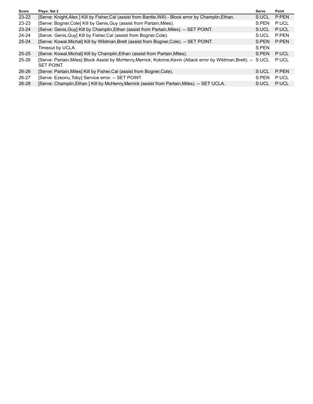| Plays: Set 2                                                                                            | Serve | Point                                                                                                               |
|---------------------------------------------------------------------------------------------------------|-------|---------------------------------------------------------------------------------------------------------------------|
| [Serve: Knight, Alex ] Kill by Fisher, Cal (assist from Bantle, Will) - Block error by Champlin, Ethan. | S:UCL | P:PEN                                                                                                               |
| [Serve: Bogner, Cole] Kill by Genis, Guy (assist from Partain, Miles).                                  | S:PEN | P:UCL                                                                                                               |
| [Serve: Genis, Guy] Kill by Champlin, Ethan (assist from Partain, Miles). -- SET POINT.                 | S:UCL | P:UCL                                                                                                               |
| [Serve: Genis, Guy] Kill by Fisher, Cal (assist from Bogner, Cole).                                     | S:UCL | P:PFN                                                                                                               |
| [Serve: Kowal, Michal] Kill by Wildman, Brett (assist from Bogner, Cole). -- SET POINT.                 | S:PEN | P:PEN                                                                                                               |
| Timeout by UCLA.                                                                                        | S:PEN |                                                                                                                     |
| [Serve: Kowal, Michal] Kill by Champlin, Ethan (assist from Partain, Miles).                            | S:PEN | P:UCL                                                                                                               |
| <b>SET POINT.</b>                                                                                       |       | P:UCL                                                                                                               |
| [Serve: Partain, Miles] Kill by Fisher, Cal (assist from Bogner, Cole).                                 | S:UCL | P:PFN                                                                                                               |
| [Serve: Ezeonu, Toby] Service error. -- SET POINT.                                                      | S:PEN | P:UCL                                                                                                               |
| [Serve: Champlin, Ethan ] Kill by McHenry, Merrick (assist from Partain, Miles). -- SET UCLA.           | S:UCL | P:UCL                                                                                                               |
|                                                                                                         |       | [Serve: Partain, Miles] Block Assist by McHenry, Merrick; Kobrine, Kevin (Attack error by Wildman, Brett). -- S:UCL |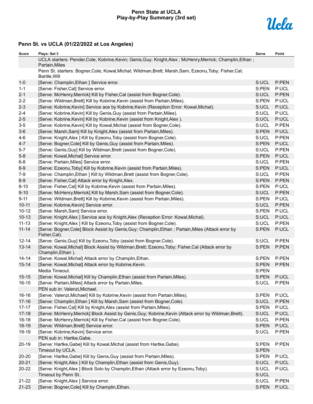# **Penn State at UCLA Play-by-Play Summary (3rd set)**



| Score     | Plays: Set 3                                                                                                                | Serve | Point |
|-----------|-----------------------------------------------------------------------------------------------------------------------------|-------|-------|
|           | UCLA starters: Pender, Cole; Kobrine, Kevin; Genis, Guy; Knight, Alex; McHenry, Merrick; Champlin, Ethan;<br>Partain, Miles |       |       |
|           | Penn St. starters: Bogner, Cole; Kowal, Michal; Wildman, Brett; Marsh, Sam; Ezeonu, Toby; Fisher, Cal;<br>Bantle, Will      |       |       |
| $1 - 0$   | [Serve: Champlin, Ethan ] Service error.                                                                                    | S:UCL | P:PEN |
| $1 - 1$   | [Serve: Fisher, Cal] Service error.                                                                                         | S:PEN | P:UCL |
| $2 - 1$   | [Serve: McHenry, Merrick] Kill by Fisher, Cal (assist from Bogner, Cole).                                                   | S:UCL | P:PEN |
| $2 - 2$   | [Serve: Wildman, Brett] Kill by Kobrine, Kevin (assist from Partain, Miles).                                                | S:PEN | P:UCL |
| $2 - 3$   | [Serve: Kobrine, Kevin] Service ace by Kobrine, Kevin (Reception Error: Kowal, Michal).                                     | S:UCL | P:UCL |
| $2 - 4$   | [Serve: Kobrine, Kevin] Kill by Genis, Guy (assist from Partain, Miles).                                                    | S:UCL | P:UCL |
| $2 - 5$   | [Serve: Kobrine, Kevin] Kill by Kobrine, Kevin (assist from Knight, Alex).                                                  | S:UCL | P:UCL |
| $3-5$     | [Serve: Kobrine, Kevin] Kill by Kowal, Michal (assist from Bogner, Cole).                                                   | S:UCL | P:PEN |
| $3-6$     | [Serve: Marsh, Sam] Kill by Knight, Alex (assist from Partain, Miles).                                                      | S:PEN | P:UCL |
| $4-6$     | [Serve: Knight, Alex ] Kill by Ezeonu, Toby (assist from Bogner, Cole).                                                     | S:UCL | P:PEN |
| $4 - 7$   | [Serve: Bogner, Cole] Kill by Genis, Guy (assist from Partain, Miles).                                                      | S:PEN | P:UCL |
| $5 - 7$   | [Serve: Genis, Guy] Kill by Wildman, Brett (assist from Bogner, Cole).                                                      | S:UCL | P:PEN |
| $5-8$     | [Serve: Kowal, Michal] Service error.                                                                                       | S:PEN | P:UCL |
| $6-8$     | [Serve: Partain, Miles] Service error.                                                                                      | S:UCL | P:PEN |
| $6-9$     | [Serve: Ezeonu, Toby] Kill by Kobrine, Kevin (assist from Partain, Miles).                                                  | S:PEN | P:UCL |
| $7-9$     | [Serve: Champlin, Ethan ] Kill by Wildman, Brett (assist from Bogner, Cole).                                                | S:UCL | P:PEN |
| $8-9$     | [Serve: Fisher, Cal] Attack error by Knight, Alex.                                                                          | S:PEN | P:PEN |
| $8 - 10$  | [Serve: Fisher, Cal] Kill by Kobrine, Kevin (assist from Partain, Miles).                                                   | S:PEN | P:UCL |
| $9 - 10$  | [Serve: McHenry, Merrick] Kill by Marsh, Sam (assist from Bogner, Cole).                                                    | S:UCL | P:PEN |
| $9 - 11$  | [Serve: Wildman, Brett] Kill by Kobrine, Kevin (assist from Partain, Miles).                                                | S:PEN | P:UCL |
| $10 - 11$ | [Serve: Kobrine, Kevin] Service error.                                                                                      | S:UCL | P:PEN |
| $10 - 12$ | [Serve: Marsh, Sam] Service error.                                                                                          | S:PEN | P:UCL |
| $10 - 13$ | [Serve: Knight, Alex ] Service ace by Knight, Alex (Reception Error: Kowal, Michal).                                        | S:UCL | P:UCL |
| $11 - 13$ | [Serve: Knight, Alex ] Kill by Ezeonu, Toby (assist from Bogner, Cole).                                                     | S:UCL | P:PEN |
| $11 - 14$ | [Serve: Bogner, Cole] Block Assist by Genis, Guy; Champlin, Ethan; Partain, Miles (Attack error by<br>Fisher, Cal).         | S:PEN | P:UCL |
| $12 - 14$ | [Serve: Genis, Guy] Kill by Ezeonu, Toby (assist from Bogner, Cole).                                                        | S:UCL | P:PEN |
| $13 - 14$ | [Serve: Kowal, Michal] Block Assist by Wildman, Brett; Ezeonu, Toby; Fisher, Cal (Attack error by<br>Champlin, Ethan ).     | S:PEN | P:PEN |
| $14 - 14$ | [Serve: Kowal, Michal] Attack error by Champlin, Ethan.                                                                     | S:PEN | P:PEN |
| $15 - 14$ | [Serve: Kowal, Michal] Attack error by Kobrine, Kevin.                                                                      | S:PEN | P:PEN |
|           | Media Timeout.                                                                                                              | S:PEN |       |
| $15 - 15$ | [Serve: Kowal, Michal] Kill by Champlin, Ethan (assist from Partain, Miles).                                                | S:PEN | P:UCL |
| $16 - 15$ | [Serve: Partain, Miles] Attack error by Partain, Miles.                                                                     | S:UCL | P:PEN |
|           | PEN sub in: Valenzi, Michael.                                                                                               |       |       |
| $16 - 16$ | [Serve: Valenzi, Michael] Kill by Kobrine, Kevin (assist from Partain, Miles).                                              | S:PEN | P:UCL |
| $17 - 16$ | [Serve: Champlin, Ethan ] Kill by Marsh, Sam (assist from Bogner, Cole).                                                    | S:UCL | P:PEN |
| $17 - 17$ | [Serve: Fisher, Cal] Kill by Knight, Alex (assist from Partain, Miles).                                                     | S:PEN | P:UCL |
| $17 - 18$ | [Serve: McHenry, Merrick] Block Assist by Genis, Guy; Kobrine, Kevin (Attack error by Wildman, Brett).                      | S:UCL | P:UCL |
| $18 - 18$ | [Serve: McHenry, Merrick] Kill by Fisher, Cal (assist from Bogner, Cole).                                                   | S:UCL | P:PEN |
| 18-19     | [Serve: Wildman, Brett] Service error.                                                                                      | S:PEN | P:UCL |
| 19-19     | [Serve: Kobrine, Kevin] Service error.                                                                                      | S:UCL | P:PEN |
|           | PEN sub in: Hartke, Gabe.                                                                                                   |       |       |
| $20-19$   | [Serve: Hartke, Gabe] Kill by Kowal, Michal (assist from Hartke, Gabe).                                                     | S:PEN | P:PEN |
|           | Timeout by UCLA.                                                                                                            | S:PEN |       |
| 20-20     | [Serve: Hartke, Gabe] Kill by Genis, Guy (assist from Partain, Miles).                                                      | S:PEN | P:UCL |
| $20 - 21$ | [Serve: Knight, Alex ] Kill by Champlin, Ethan (assist from Genis, Guy).                                                    | S:UCL | P:UCL |
| 20-22     | [Serve: Knight, Alex ] Block Solo by Champlin, Ethan (Attack error by Ezeonu, Toby).                                        | S:UCL | P:UCL |
|           | Timeout by Penn St                                                                                                          | S:UCL |       |
| $21 - 22$ | [Serve: Knight, Alex ] Service error.                                                                                       | S:UCL | P:PEN |
| $21 - 23$ | [Serve: Bogner, Cole] Kill by Champlin, Ethan.                                                                              | S:PEN | P:UCL |
|           |                                                                                                                             |       |       |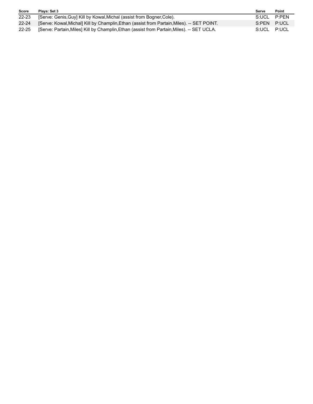| <b>Score</b> | Plays: Set 3                                                                               | Serve       | Point |
|--------------|--------------------------------------------------------------------------------------------|-------------|-------|
| $22 - 23$    | [Serve: Genis, Guy] Kill by Kowal, Michal (assist from Bogner, Cole).                      | S:UCL P:PEN |       |
| $22 - 24$    | [Serve: Kowal, Michal] Kill by Champlin, Ethan (assist from Partain, Miles). -- SET POINT. | S:PEN P:UCL |       |
| $22 - 25$    | [Serve: Partain, Miles] Kill by Champlin, Ethan (assist from Partain, Miles). -- SET UCLA. | S:UCL P:UCL |       |